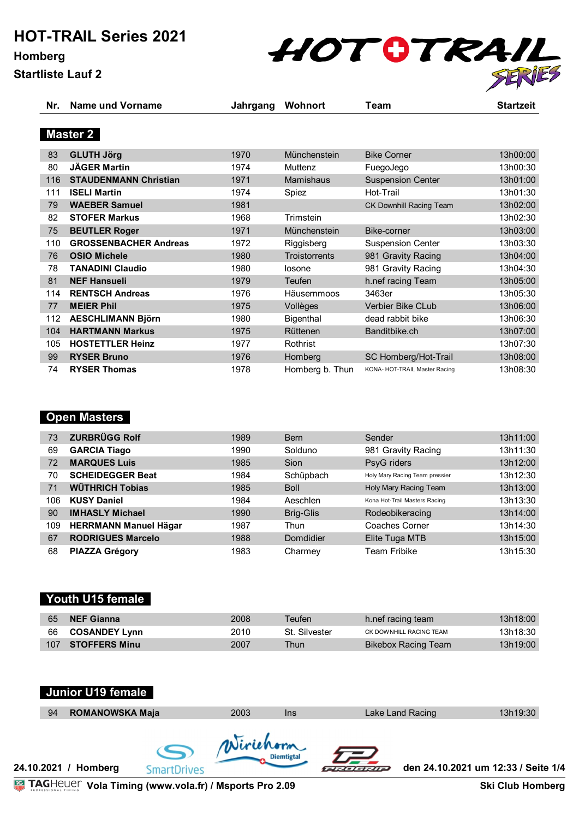# **HOT-TRAIL Series 2021**

**Homberg Startliste Lauf 2**



| Nr. | Name und Vorname             | Jahrgang | Wohnort              | Team                          | <b>Startzeit</b> |
|-----|------------------------------|----------|----------------------|-------------------------------|------------------|
|     | <b>Master 2</b>              |          |                      |                               |                  |
| 83  | <b>GLUTH Jörg</b>            | 1970     | Münchenstein         | <b>Bike Corner</b>            | 13h00:00         |
| 80  | <b>JÄGER Martin</b>          | 1974     | Muttenz              | FuegoJego                     | 13h00:30         |
| 116 | <b>STAUDENMANN Christian</b> | 1971     | <b>Mamishaus</b>     | <b>Suspension Center</b>      | 13h01:00         |
| 111 | <b>ISELI Martin</b>          | 1974     | Spiez                | Hot-Trail                     | 13h01:30         |
| 79  | <b>WAEBER Samuel</b>         | 1981     |                      | CK Downhill Racing Team       | 13h02:00         |
| 82  | <b>STOFER Markus</b>         | 1968     | Trimstein            |                               | 13h02:30         |
| 75  | <b>BEUTLER Roger</b>         | 1971     | <b>Münchenstein</b>  | Bike-corner                   | 13h03:00         |
| 110 | <b>GROSSENBACHER Andreas</b> | 1972     | Riggisberg           | <b>Suspension Center</b>      | 13h03:30         |
| 76  | <b>OSIO Michele</b>          | 1980     | <b>Troistorrents</b> | 981 Gravity Racing            | 13h04:00         |
| 78  | <b>TANADINI Claudio</b>      | 1980     | losone               | 981 Gravity Racing            | 13h04:30         |
| 81  | <b>NEF Hansueli</b>          | 1979     | Teufen               | h.nef racing Team             | 13h05:00         |
| 114 | <b>RENTSCH Andreas</b>       | 1976     | Häusernmoos          | 3463er                        | 13h05:30         |
| 77  | <b>MEIER Phil</b>            | 1975     | Vollèges             | <b>Verbier Bike CLub</b>      | 13h06:00         |
| 112 | <b>AESCHLIMANN Björn</b>     | 1980     | Bigenthal            | dead rabbit bike              | 13h06:30         |
| 104 | <b>HARTMANN Markus</b>       | 1975     | Rüttenen             | Banditbike.ch                 | 13h07:00         |
| 105 | <b>HOSTETTLER Heinz</b>      | 1977     | Rothrist             |                               | 13h07:30         |
| 99  | <b>RYSER Bruno</b>           | 1976     | Homberg              | SC Homberg/Hot-Trail          | 13h08:00         |
| 74  | <b>RYSER Thomas</b>          | 1978     | Homberg b. Thun      | KONA- HOT-TRAIL Master Racing | 13h08:30         |

### **Open Masters**

| 73  | <b>ZURBRÜGG Rolf</b>         | 1989 | <b>Bern</b>      | Sender                         | 13h11:00 |
|-----|------------------------------|------|------------------|--------------------------------|----------|
| 69  | <b>GARCIA Tiago</b>          | 1990 | Solduno          | 981 Gravity Racing             | 13h11:30 |
| 72  | <b>MARQUES Luis</b>          | 1985 | Sion             | PsyG riders                    | 13h12:00 |
| 70  | <b>SCHEIDEGGER Beat</b>      | 1984 | Schüpbach        | Holy Mary Racing Team pressier | 13h12:30 |
| 71  | <b>WÜTHRICH Tobias</b>       | 1985 | <b>Boll</b>      | Holy Mary Racing Team          | 13h13:00 |
| 106 | <b>KUSY Daniel</b>           | 1984 | Aeschlen         | Kona Hot-Trail Masters Racing  | 13h13:30 |
| 90  | <b>IMHASLY Michael</b>       | 1990 | <b>Brig-Glis</b> | Rodeobikeracing                | 13h14:00 |
| 109 | <b>HERRMANN Manuel Hägar</b> | 1987 | Thun             | Coaches Corner                 | 13h14:30 |
| 67  | <b>RODRIGUES Marcelo</b>     | 1988 | Domdidier        | Elite Tuga MTB                 | 13h15:00 |
| 68  | <b>PIAZZA Grégory</b>        | 1983 | Charmey          | Team Fribike                   | 13h15:30 |

### **Youth U15 female**

| 65 | NEF Gianna              | 2008 | <b>Feufen</b> | h.nef racing team       | 13h18:00 |
|----|-------------------------|------|---------------|-------------------------|----------|
|    | 66 <b>COSANDEY Lynn</b> | 2010 | St. Silvester | CK DOWNHILL RACING TEAM | 13h18:30 |
|    | 107 STOFFERS Minu       | 2007 | Thun          | Bikebox Racing Team     | 13h19:00 |

### **Junior U19 female**

| 94 | <b>ROMANOWSKA Maja</b> |             | 2003      | <b>Ins</b>        |                  | Lake Land Racing | 13h19:30                            |
|----|------------------------|-------------|-----------|-------------------|------------------|------------------|-------------------------------------|
|    | 24.10.2021 / Homberg   | imartDrives | Wirichorn | <b>Diemtigtal</b> | <b>EXPLORATE</b> |                  | den 24.10.2021 um 12:33 / Seite 1/4 |

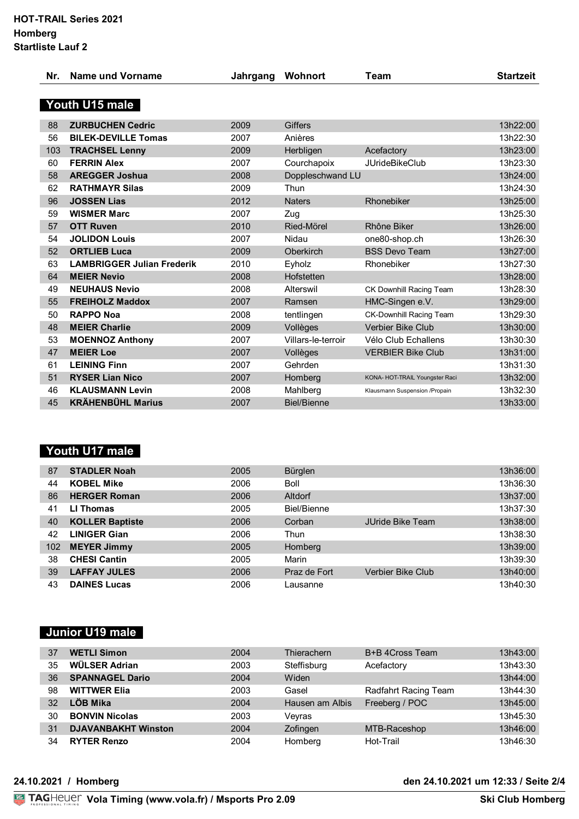| <b>Nr</b> | Name und Vorname | Jahrgang | Wohnort | eam' |  |
|-----------|------------------|----------|---------|------|--|
|           |                  |          |         |      |  |

## **Youth U15 male**

| 88  | <b>ZURBUCHEN Cedric</b>           | 2009 | <b>Giffers</b>     |                                | 13h22:00 |
|-----|-----------------------------------|------|--------------------|--------------------------------|----------|
| 56  | <b>BILEK-DEVILLE Tomas</b>        | 2007 | Anières            |                                | 13h22:30 |
| 103 | <b>TRACHSEL Lenny</b>             | 2009 | Herbligen          | Acefactory                     | 13h23:00 |
| 60  | <b>FERRIN Alex</b>                | 2007 | Courchapoix        | <b>JUrideBikeClub</b>          | 13h23:30 |
| 58  | <b>AREGGER Joshua</b>             | 2008 | Doppleschwand LU   |                                | 13h24:00 |
| 62  | <b>RATHMAYR Silas</b>             | 2009 | Thun               |                                | 13h24:30 |
| 96  | <b>JOSSEN Lias</b>                | 2012 | <b>Naters</b>      | Rhonebiker                     | 13h25:00 |
| 59  | <b>WISMER Marc</b>                | 2007 | Zug                |                                | 13h25:30 |
| 57  | <b>OTT Ruven</b>                  | 2010 | Ried-Mörel         | Rhône Biker                    | 13h26:00 |
| 54  | <b>JOLIDON Louis</b>              | 2007 | Nidau              | one80-shop.ch                  | 13h26:30 |
| 52  | <b>ORTLIEB Luca</b>               | 2009 | Oberkirch          | <b>BSS Devo Team</b>           | 13h27:00 |
| 63  | <b>LAMBRIGGER Julian Frederik</b> | 2010 | Eyholz             | Rhonebiker                     | 13h27:30 |
| 64  | <b>MEIER Nevio</b>                | 2008 | Hofstetten         |                                | 13h28:00 |
| 49  | <b>NEUHAUS Nevio</b>              | 2008 | Alterswil          | CK Downhill Racing Team        | 13h28:30 |
| 55  | <b>FREIHOLZ Maddox</b>            | 2007 | Ramsen             | HMC-Singen e.V.                | 13h29:00 |
| 50  | <b>RAPPO Noa</b>                  | 2008 | tentlingen         | CK-Downhill Racing Team        | 13h29:30 |
| 48  | <b>MEIER Charlie</b>              | 2009 | Vollèges           | Verbier Bike Club              | 13h30:00 |
| 53  | <b>MOENNOZ Anthony</b>            | 2007 | Villars-le-terroir | Vélo Club Echallens            | 13h30:30 |
| 47  | <b>MEIER Loe</b>                  | 2007 | Vollèges           | <b>VERBIER Bike Club</b>       | 13h31:00 |
| 61  | <b>LEINING Finn</b>               | 2007 | Gehrden            |                                | 13h31:30 |
| 51  | <b>RYSER Lian Nico</b>            | 2007 | Homberg            | KONA- HOT-TRAIL Youngster Raci | 13h32:00 |
| 46  | <b>KLAUSMANN Levin</b>            | 2008 | Mahlberg           | Klausmann Suspension /Propain  | 13h32:30 |
| 45  | <b>KRÄHENBÜHL Marius</b>          | 2007 | <b>Biel/Bienne</b> |                                | 13h33:00 |
|     |                                   |      |                    |                                |          |

## **Youth U17 male**

| 87  | <b>STADLER Noah</b>    | 2005 | Bürglen      |                   | 13h36:00 |
|-----|------------------------|------|--------------|-------------------|----------|
| 44  | <b>KOBEL Mike</b>      | 2006 | <b>Boll</b>  |                   | 13h36:30 |
| 86  | <b>HERGER Roman</b>    | 2006 | Altdorf      |                   | 13h37:00 |
| 41  | LI Thomas              | 2005 | Biel/Bienne  |                   | 13h37:30 |
| 40  | <b>KOLLER Baptiste</b> | 2006 | Corban       | JUride Bike Team  | 13h38:00 |
| 42  | <b>LINIGER Gian</b>    | 2006 | Thun         |                   | 13h38:30 |
| 102 | <b>MEYER Jimmy</b>     | 2005 | Homberg      |                   | 13h39:00 |
| 38  | <b>CHESI Cantin</b>    | 2005 | Marin        |                   | 13h39:30 |
| 39  | <b>LAFFAY JULES</b>    | 2006 | Praz de Fort | Verbier Bike Club | 13h40:00 |
| 43  | <b>DAINES Lucas</b>    | 2006 | Lausanne     |                   | 13h40:30 |

### **Junior U19 male**

| 37 | <b>WETLI Simon</b>         | 2004 | Thierachern     | B+B 4Cross Team      | 13h43:00 |
|----|----------------------------|------|-----------------|----------------------|----------|
| 35 | WÜLSER Adrian              | 2003 | Steffisburg     | Acefactory           | 13h43:30 |
| 36 | <b>SPANNAGEL Dario</b>     | 2004 | Widen           |                      | 13h44:00 |
| 98 | <b>WITTWER Elia</b>        | 2003 | Gasel           | Radfahrt Racing Team | 13h44:30 |
| 32 | <b>LÖB Mika</b>            | 2004 | Hausen am Albis | Freeberg / POC       | 13h45:00 |
| 30 | <b>BONVIN Nicolas</b>      | 2003 | Veyras          |                      | 13h45:30 |
| 31 | <b>DJAVANBAKHT Winston</b> | 2004 | Zofingen        | MTB-Raceshop         | 13h46:00 |
| 34 | <b>RYTER Renzo</b>         | 2004 | Homberg         | Hot-Trail            | 13h46:30 |

### **24.10.2021 / Homberg den 24.10.2021 um 12:33 / Seite 2/4**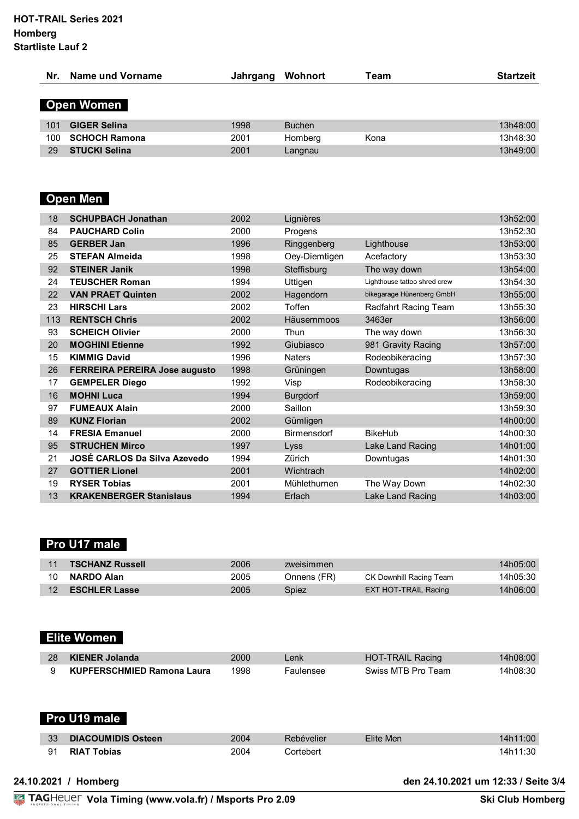| Nr. | Name und Vorname     | Jahrgang | Wohnort       | Team | <b>Startzeit</b> |
|-----|----------------------|----------|---------------|------|------------------|
|     | <b>Open Women</b>    |          |               |      |                  |
|     |                      |          |               |      |                  |
| 101 | <b>GIGER Selina</b>  | 1998     | <b>Buchen</b> |      | 13h48:00         |
| 100 | <b>SCHOCH Ramona</b> | 2001     | Homberg       | Kona | 13h48:30         |
| 29  | <b>STUCKI Selina</b> | 2001     | Langnau       |      | 13h49:00         |

## **Open Men**

| 18  | <b>SCHUPBACH Jonathan</b>            | 2002 | Lignières          |                              | 13h52:00 |
|-----|--------------------------------------|------|--------------------|------------------------------|----------|
| 84  | <b>PAUCHARD Colin</b>                | 2000 | Progens            |                              | 13h52:30 |
| 85  | <b>GERBER Jan</b>                    | 1996 | Ringgenberg        | Lighthouse                   | 13h53:00 |
| 25  | <b>STEFAN Almeida</b>                | 1998 | Oey-Diemtigen      | Acefactory                   | 13h53:30 |
| 92  | <b>STEINER Janik</b>                 | 1998 | Steffisburg        | The way down                 | 13h54:00 |
| 24  | <b>TEUSCHER Roman</b>                | 1994 | Uttigen            | Lighthouse tattoo shred crew | 13h54:30 |
| 22  | <b>VAN PRAET Quinten</b>             | 2002 | Hagendorn          | bikegarage Hünenberg GmbH    | 13h55:00 |
| 23  | <b>HIRSCHI Lars</b>                  | 2002 | Toffen             | Radfahrt Racing Team         | 13h55:30 |
| 113 | <b>RENTSCH Chris</b>                 | 2002 | Häusernmoos        | 3463er                       | 13h56:00 |
| 93  | <b>SCHEICH Olivier</b>               | 2000 | Thun               | The way down                 | 13h56:30 |
| 20  | <b>MOGHINI Etienne</b>               | 1992 | Giubiasco          | 981 Gravity Racing           | 13h57:00 |
| 15  | <b>KIMMIG David</b>                  | 1996 | <b>Naters</b>      | Rodeobikeracing              | 13h57:30 |
| 26  | <b>FERREIRA PEREIRA Jose augusto</b> | 1998 | Grüningen          | Downtugas                    | 13h58:00 |
| 17  | <b>GEMPELER Diego</b>                | 1992 | Visp               | Rodeobikeracing              | 13h58:30 |
| 16  | <b>MOHNI Luca</b>                    | 1994 | <b>Burgdorf</b>    |                              | 13h59:00 |
| 97  | <b>FUMEAUX Alain</b>                 | 2000 | Saillon            |                              | 13h59:30 |
| 89  | <b>KUNZ Florian</b>                  | 2002 | Gümligen           |                              | 14h00:00 |
| 14  | <b>FRESIA Emanuel</b>                | 2000 | <b>Birmensdorf</b> | <b>BikeHub</b>               | 14h00:30 |
| 95  | <b>STRUCHEN Mirco</b>                | 1997 | Lyss               | Lake Land Racing             | 14h01:00 |
| 21  | JOSÉ CARLOS Da Silva Azevedo         | 1994 | Zürich             | Downtugas                    | 14h01:30 |
| 27  | <b>GOTTIER Lionel</b>                | 2001 | Wichtrach          |                              | 14h02:00 |
| 19  | <b>RYSER Tobias</b>                  | 2001 | Mühlethurnen       | The Way Down                 | 14h02:30 |
| 13  | <b>KRAKENBERGER Stanislaus</b>       | 1994 | Erlach             | Lake Land Racing             | 14h03:00 |
|     |                                      |      |                    |                              |          |

## **Pro U17 male**

| 11 <sup>7</sup> | <b>TSCHANZ Russell</b>  | 2006 | zweisimmen  |                         | 14h05:00 |
|-----------------|-------------------------|------|-------------|-------------------------|----------|
| 10              | <b>NARDO Alan</b>       | 2005 | Onnens (FR) | CK Downhill Racing Team | 14h05:30 |
|                 | 12 <b>ESCHLER Lasse</b> | 2005 | Spiez       | EXT HOT-TRAIL Racing    | 14h06:00 |

## **Elite Women**

| 28 KIENER Jolanda          | 2000 | .enk      | HOT-TRAIL Racing   | 14h08:00 |
|----------------------------|------|-----------|--------------------|----------|
| KUPFERSCHMIED Ramona Laura | 1998 | Faulensee | Swiss MTB Pro Team | 14h08:30 |

| Pro U19 male                    |      |            |           |          |  |  |  |  |
|---------------------------------|------|------------|-----------|----------|--|--|--|--|
| 33<br><b>DIACOUMIDIS Osteen</b> | 2004 | Rebévelier | Elite Men | 14h11:00 |  |  |  |  |
| 91<br><b>RIAT Tobias</b>        | 2004 | Cortebert  |           | 14h11:30 |  |  |  |  |

**24.10.2021 / Homberg den 24.10.2021 um 12:33 / Seite 3/4**